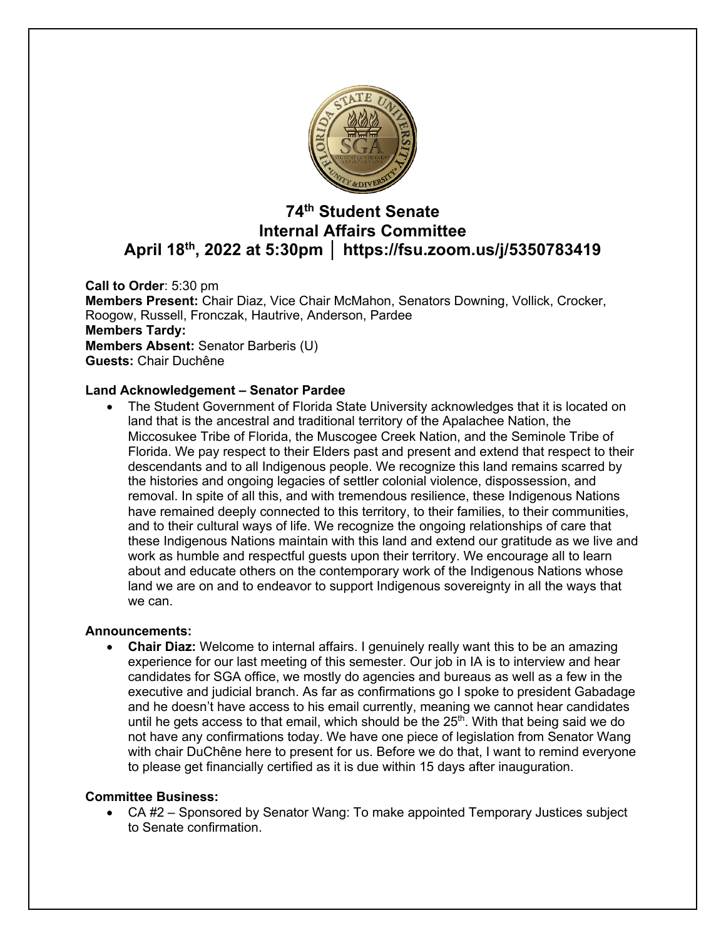

# **74th Student Senate Internal Affairs Committee April 18th, 2022 at 5:30pm │ https://fsu.zoom.us/j/5350783419**

**Call to Order**: 5:30 pm **Members Present:** Chair Diaz, Vice Chair McMahon, Senators Downing, Vollick, Crocker, Roogow, Russell, Fronczak, Hautrive, Anderson, Pardee **Members Tardy: Members Absent:** Senator Barberis (U) **Guests:** Chair Duchêne

## **Land Acknowledgement – Senator Pardee**

• The Student Government of Florida State University acknowledges that it is located on land that is the ancestral and traditional territory of the Apalachee Nation, the Miccosukee Tribe of Florida, the Muscogee Creek Nation, and the Seminole Tribe of Florida. We pay respect to their Elders past and present and extend that respect to their descendants and to all Indigenous people. We recognize this land remains scarred by the histories and ongoing legacies of settler colonial violence, dispossession, and removal. In spite of all this, and with tremendous resilience, these Indigenous Nations have remained deeply connected to this territory, to their families, to their communities, and to their cultural ways of life. We recognize the ongoing relationships of care that these Indigenous Nations maintain with this land and extend our gratitude as we live and work as humble and respectful guests upon their territory. We encourage all to learn about and educate others on the contemporary work of the Indigenous Nations whose land we are on and to endeavor to support Indigenous sovereignty in all the ways that we can.

#### **Announcements:**

• **Chair Diaz:** Welcome to internal affairs. I genuinely really want this to be an amazing experience for our last meeting of this semester. Our job in IA is to interview and hear candidates for SGA office, we mostly do agencies and bureaus as well as a few in the executive and judicial branch. As far as confirmations go I spoke to president Gabadage and he doesn't have access to his email currently, meaning we cannot hear candidates until he gets access to that email, which should be the  $25<sup>th</sup>$ . With that being said we do not have any confirmations today. We have one piece of legislation from Senator Wang with chair DuChêne here to present for us. Before we do that, I want to remind everyone to please get financially certified as it is due within 15 days after inauguration.

#### **Committee Business:**

• CA #2 – Sponsored by Senator Wang: To make appointed Temporary Justices subject to Senate confirmation.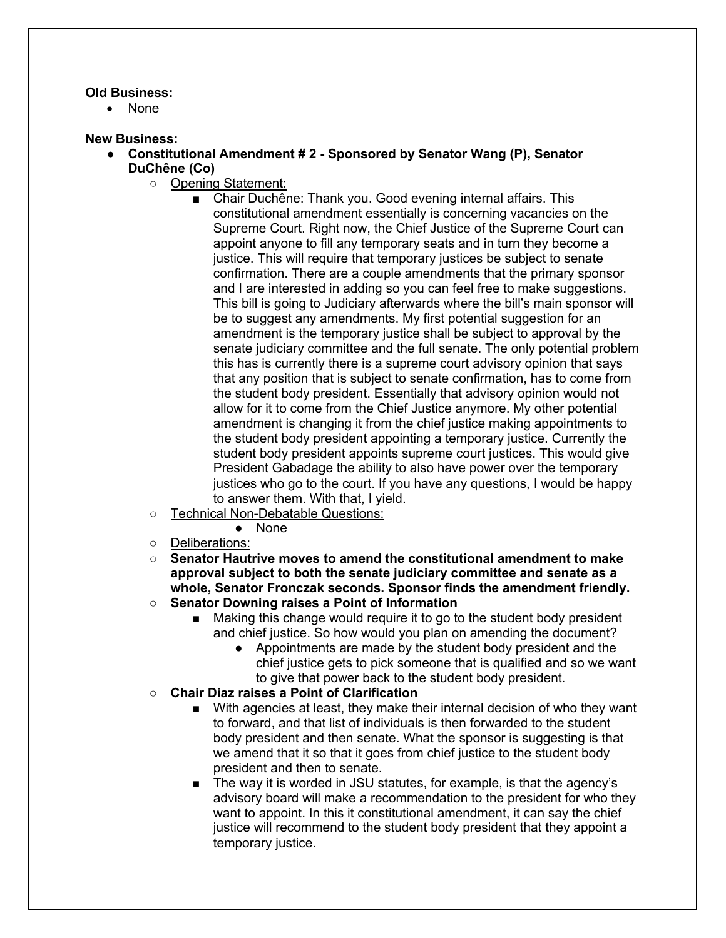#### **Old Business:**

• None

#### **New Business:**

- **Constitutional Amendment # 2 - Sponsored by Senator Wang (P), Senator DuChêne (Co)**
	- Opening Statement:
		- Chair Duchêne: Thank you. Good evening internal affairs. This constitutional amendment essentially is concerning vacancies on the Supreme Court. Right now, the Chief Justice of the Supreme Court can appoint anyone to fill any temporary seats and in turn they become a justice. This will require that temporary justices be subject to senate confirmation. There are a couple amendments that the primary sponsor and I are interested in adding so you can feel free to make suggestions. This bill is going to Judiciary afterwards where the bill's main sponsor will be to suggest any amendments. My first potential suggestion for an amendment is the temporary justice shall be subject to approval by the senate judiciary committee and the full senate. The only potential problem this has is currently there is a supreme court advisory opinion that says that any position that is subject to senate confirmation, has to come from the student body president. Essentially that advisory opinion would not allow for it to come from the Chief Justice anymore. My other potential amendment is changing it from the chief justice making appointments to the student body president appointing a temporary justice. Currently the student body president appoints supreme court justices. This would give President Gabadage the ability to also have power over the temporary justices who go to the court. If you have any questions, I would be happy to answer them. With that, I yield.
	- Technical Non-Debatable Questions:
		- None
	- Deliberations:
	- **Senator Hautrive moves to amend the constitutional amendment to make approval subject to both the senate judiciary committee and senate as a whole, Senator Fronczak seconds. Sponsor finds the amendment friendly.**
	- **Senator Downing raises a Point of Information**
		- Making this change would require it to go to the student body president and chief justice. So how would you plan on amending the document?
			- Appointments are made by the student body president and the chief justice gets to pick someone that is qualified and so we want to give that power back to the student body president.
	- **Chair Diaz raises a Point of Clarification**
		- With agencies at least, they make their internal decision of who they want to forward, and that list of individuals is then forwarded to the student body president and then senate. What the sponsor is suggesting is that we amend that it so that it goes from chief justice to the student body president and then to senate.
		- The way it is worded in JSU statutes, for example, is that the agency's advisory board will make a recommendation to the president for who they want to appoint. In this it constitutional amendment, it can say the chief justice will recommend to the student body president that they appoint a temporary justice.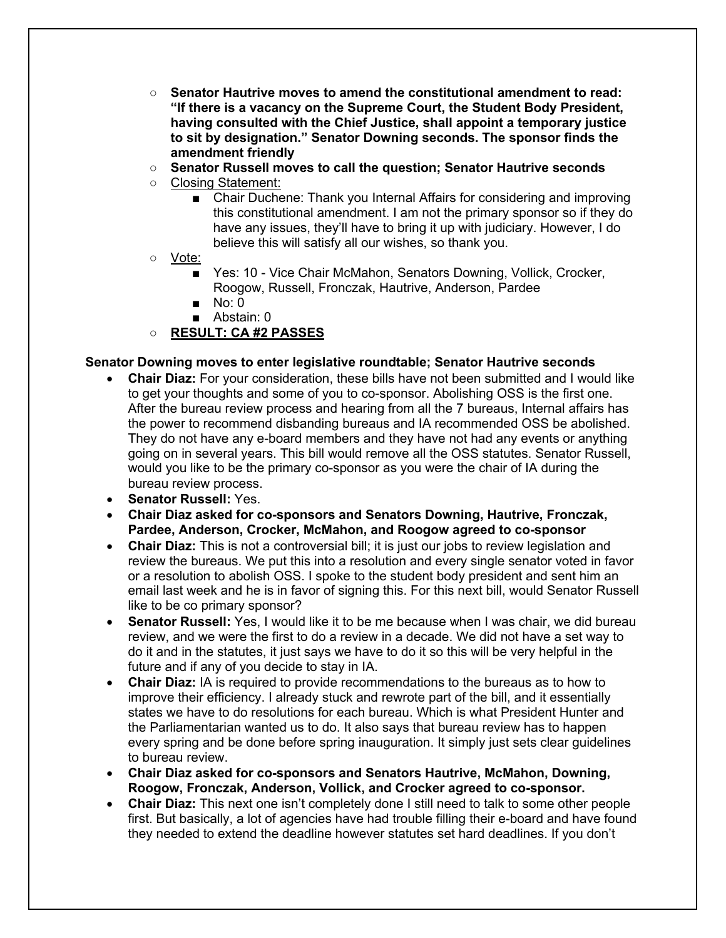- **Senator Hautrive moves to amend the constitutional amendment to read: "If there is a vacancy on the Supreme Court, the Student Body President, having consulted with the Chief Justice, shall appoint a temporary justice to sit by designation." Senator Downing seconds. The sponsor finds the amendment friendly**
- **Senator Russell moves to call the question; Senator Hautrive seconds**
- Closing Statement:
	- Chair Duchene: Thank you Internal Affairs for considering and improving this constitutional amendment. I am not the primary sponsor so if they do have any issues, they'll have to bring it up with judiciary. However, I do believe this will satisfy all our wishes, so thank you.
- Vote:
	- Yes: 10 Vice Chair McMahon, Senators Downing, Vollick, Crocker, Roogow, Russell, Fronczak, Hautrive, Anderson, Pardee
	- No: 0
	- Abstain: 0
- **RESULT: CA #2 PASSES**

# **Senator Downing moves to enter legislative roundtable; Senator Hautrive seconds**

- **Chair Diaz:** For your consideration, these bills have not been submitted and I would like to get your thoughts and some of you to co-sponsor. Abolishing OSS is the first one. After the bureau review process and hearing from all the 7 bureaus, Internal affairs has the power to recommend disbanding bureaus and IA recommended OSS be abolished. They do not have any e-board members and they have not had any events or anything going on in several years. This bill would remove all the OSS statutes. Senator Russell, would you like to be the primary co-sponsor as you were the chair of IA during the bureau review process.
- **Senator Russell:** Yes.
- **Chair Diaz asked for co-sponsors and Senators Downing, Hautrive, Fronczak, Pardee, Anderson, Crocker, McMahon, and Roogow agreed to co-sponsor**
- **Chair Diaz:** This is not a controversial bill; it is just our jobs to review legislation and review the bureaus. We put this into a resolution and every single senator voted in favor or a resolution to abolish OSS. I spoke to the student body president and sent him an email last week and he is in favor of signing this. For this next bill, would Senator Russell like to be co primary sponsor?
- **Senator Russell:** Yes, I would like it to be me because when I was chair, we did bureau review, and we were the first to do a review in a decade. We did not have a set way to do it and in the statutes, it just says we have to do it so this will be very helpful in the future and if any of you decide to stay in IA.
- **Chair Diaz:** IA is required to provide recommendations to the bureaus as to how to improve their efficiency. I already stuck and rewrote part of the bill, and it essentially states we have to do resolutions for each bureau. Which is what President Hunter and the Parliamentarian wanted us to do. It also says that bureau review has to happen every spring and be done before spring inauguration. It simply just sets clear guidelines to bureau review.
- **Chair Diaz asked for co-sponsors and Senators Hautrive, McMahon, Downing, Roogow, Fronczak, Anderson, Vollick, and Crocker agreed to co-sponsor.**
- **Chair Diaz:** This next one isn't completely done I still need to talk to some other people first. But basically, a lot of agencies have had trouble filling their e-board and have found they needed to extend the deadline however statutes set hard deadlines. If you don't